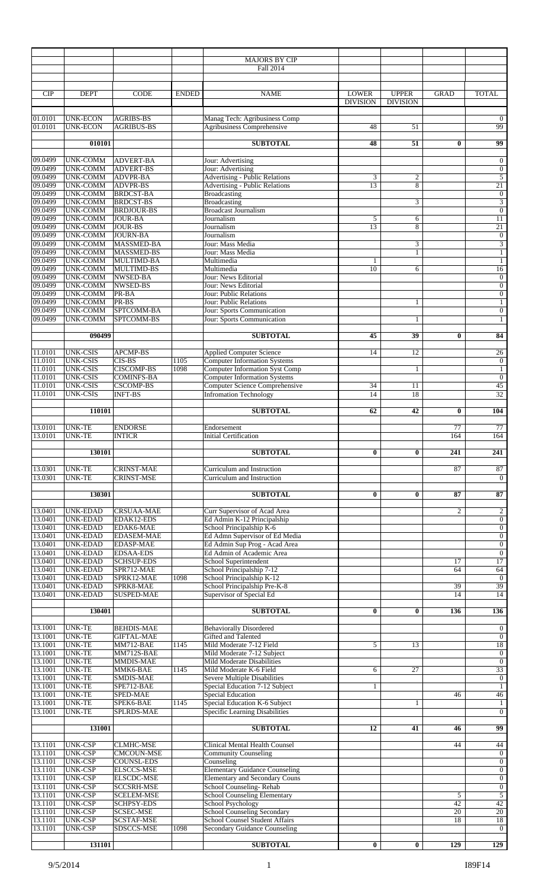|                    |                                    |                                        |              | <b>MAJORS BY CIP</b><br>Fall 2014                                              |                                 |                                 |                |                                         |
|--------------------|------------------------------------|----------------------------------------|--------------|--------------------------------------------------------------------------------|---------------------------------|---------------------------------|----------------|-----------------------------------------|
| <b>CIP</b>         | <b>DEPT</b>                        | <b>CODE</b>                            | <b>ENDED</b> | <b>NAME</b>                                                                    | <b>LOWER</b><br><b>DIVISION</b> | <b>UPPER</b><br><b>DIVISION</b> | <b>GRAD</b>    | <b>TOTAL</b>                            |
| 01.0101<br>01.0101 | <b>UNK-ECON</b><br><b>UNK-ECON</b> | <b>AGRIBS-BS</b><br><b>AGRIBUS-BS</b>  |              | Manag Tech: Agribusiness Comp<br><b>Agribusiness Comprehensive</b>             | 48                              | 51                              |                | $\overline{0}$<br>99                    |
|                    | 010101                             |                                        |              | <b>SUBTOTAL</b>                                                                | 48                              | 51                              | $\bf{0}$       | $\overline{99}$                         |
| 09.0499            | <b>UNK-COMM</b>                    | <b>ADVERT-BA</b>                       |              | Jour: Advertising                                                              |                                 |                                 |                | $\mathbf{0}$                            |
| 09.0499<br>09.0499 | <b>UNK-COMM</b><br><b>UNK-COMM</b> | <b>ADVERT-BS</b><br><b>ADVPR-BA</b>    |              | Jour: Advertising<br><b>Advertising - Public Relations</b>                     | 3                               | $\overline{c}$                  |                | $\mathbf{0}$<br>$\overline{5}$          |
| 09.0499            | <b>UNK-COMM</b>                    | ADVPR-BS                               |              | <b>Advertising - Public Relations</b>                                          | 13                              | 8                               |                | 21                                      |
| 09.0499<br>09.0499 | <b>UNK-COMM</b><br><b>UNK-COMM</b> | <b>BRDCST-BA</b><br><b>BRDCST-BS</b>   |              | Broadcasting<br><b>Broadcasting</b>                                            |                                 | 3                               |                | $\mathbf{0}$<br>$\overline{\mathbf{3}}$ |
| 09.0499<br>09.0499 | <b>UNK-COMM</b><br><b>UNK-COMM</b> | <b>BRDJOUR-BS</b><br><b>JOUR-BA</b>    |              | <b>Broadcast Journalism</b><br>Journalism                                      | 5                               | 6                               |                | $\boldsymbol{0}$<br>11                  |
| 09.0499            | <b>UNK-COMM</b>                    | <b>JOUR-BS</b>                         |              | Journalism                                                                     | 13                              | 8                               |                | 21                                      |
| 09.0499<br>09.0499 | <b>UNK-COMM</b><br><b>UNK-COMM</b> | <b>JOURN-BA</b><br>MASSMED-BA          |              | Journalism<br>Jour: Mass Media                                                 |                                 | 3                               |                | $\boldsymbol{0}$<br>$\sqrt{3}$          |
| 09.0499            | <b>UNK-COMM</b>                    | <b>MASSMED-BS</b>                      |              | Jour: Mass Media                                                               |                                 | $\mathbf{1}$                    |                | $\mathbf{1}$                            |
| 09.0499<br>09.0499 | <b>UNK-COMM</b><br><b>UNK-COMM</b> | <b>MULTIMD-BA</b><br>MULTIMD-BS        |              | Multimedia<br>Multimedia                                                       | 1<br>10                         | 6                               |                | $\mathbf{1}$<br>16                      |
| 09.0499<br>09.0499 | <b>UNK-COMM</b><br><b>UNK-COMM</b> | NWSED-BA<br>NWSED-BS                   |              | Jour: News Editorial<br>Jour: News Editorial                                   |                                 |                                 |                | $\boldsymbol{0}$<br>$\boldsymbol{0}$    |
| 09.0499            | <b>UNK-COMM</b>                    | PR-BA                                  |              | Jour: Public Relations                                                         |                                 |                                 |                | $\mathbf{0}$                            |
| 09.0499<br>09.0499 | <b>UNK-COMM</b><br><b>UNK-COMM</b> | PR-BS<br>SPTCOMM-BA                    |              | Jour: Public Relations<br>Jour: Sports Communication                           |                                 | $\mathbf{1}$                    |                | $\mathbf{1}$<br>$\mathbf{0}$            |
| 09.0499            | <b>UNK-COMM</b>                    | SPTCOMM-BS                             |              | Jour: Sports Communication                                                     |                                 | $\mathbf{1}$                    |                | $\mathbf{1}$                            |
|                    | 090499                             |                                        |              | <b>SUBTOTAL</b>                                                                | 45                              | 39                              | $\bf{0}$       | 84                                      |
| 11.0101            | <b>UNK-CSIS</b>                    | <b>APCMP-BS</b>                        |              | <b>Applied Computer Science</b>                                                | 14                              | 12                              |                | 26                                      |
| 11.0101            | <b>UNK-CSIS</b>                    | CIS-BS                                 | 1105         | <b>Computer Information Systems</b>                                            |                                 |                                 |                | $\mathbf{0}$                            |
| 11.0101<br>11.0101 | <b>UNK-CSIS</b><br><b>UNK-CSIS</b> | <b>CISCOMP-BS</b><br><b>COMINFS-BA</b> | 1098         | <b>Computer Information Syst Comp</b><br><b>Computer Information Systems</b>   |                                 | $\mathbf{1}$                    |                | $\mathbf{1}$<br>$\mathbf{0}$            |
| 11.0101            | <b>UNK-CSIS</b>                    | <b>CSCOMP-BS</b>                       |              | <b>Computer Science Comprehensive</b>                                          | 34<br>14                        | 11                              |                | 45<br>32                                |
| 11.0101            | <b>UNK-CSIS</b>                    | <b>INFT-BS</b>                         |              | <b>Infromation Technology</b>                                                  |                                 | 18                              |                |                                         |
|                    | 110101                             |                                        |              | <b>SUBTOTAL</b>                                                                | 62                              | 42                              | $\bf{0}$       | 104                                     |
| 13.0101<br>13.0101 | <b>UNK-TE</b><br><b>UNK-TE</b>     | <b>ENDORSE</b><br><b>INTICR</b>        |              | Endorsement<br><b>Initial Certification</b>                                    |                                 |                                 | 77<br>164      | 77<br>164                               |
|                    | 130101                             |                                        |              | <b>SUBTOTAL</b>                                                                | $\bf{0}$                        | $\bf{0}$                        | 241            | 241                                     |
| 13.0301<br>13.0301 | <b>UNK-TE</b><br><b>UNK-TE</b>     | <b>CRINST-MAE</b><br><b>CRINST-MSE</b> |              | Curriculum and Instruction<br>Curriculum and Instruction                       |                                 |                                 | 87             | 87<br>$\overline{0}$                    |
|                    | 130301                             |                                        |              | <b>SUBTOTAL</b>                                                                | $\bf{0}$                        | $\bf{0}$                        | 87             | 87                                      |
| 13.0401<br>13.0401 | <b>UNK-EDAD</b><br><b>UNK-EDAD</b> | <b>CRSUAA-MAE</b><br>EDAK12-EDS        |              | Curr Supervisor of Acad Area<br>Ed Admin K-12 Principalship                    |                                 |                                 | $\overline{c}$ | $\overline{2}$<br>$\overline{0}$        |
| 13.0401            | <b>UNK-EDAD</b>                    | EDAK6-MAE                              |              | School Principalship K-6                                                       |                                 |                                 |                | $\overline{0}$                          |
| 13.0401<br>13.0401 | <b>UNK-EDAD</b><br><b>UNK-EDAD</b> | <b>EDASEM-MAE</b><br><b>EDASP-MAE</b>  |              | Ed Admn Supervisor of Ed Media<br>Ed Admin Sup Prog - Acad Area                |                                 |                                 |                | $\overline{0}$<br>$\boldsymbol{0}$      |
| 13.0401            | <b>UNK-EDAD</b>                    | <b>EDSAA-EDS</b>                       |              | Ed Admin of Academic Area                                                      |                                 |                                 |                | $\overline{0}$                          |
| 13.0401<br>13.0401 | UNK-EDAD<br><b>UNK-EDAD</b>        | <b>SCHSUP-EDS</b><br>SPR712-MAE        |              | School Superintendent<br>School Principalship 7-12                             |                                 |                                 | 17<br>64       | 17<br>64                                |
| 13.0401            | <b>UNK-EDAD</b>                    | SPRK12-MAE                             | 1098         | School Principalship K-12                                                      |                                 |                                 | 39             | $\overline{0}$<br>39                    |
| 13.0401<br>13.0401 | <b>UNK-EDAD</b><br><b>UNK-EDAD</b> | SPRK8-MAE<br><b>SUSPED-MAE</b>         |              | School Principalship Pre-K-8<br>Supervisor of Special Ed                       |                                 |                                 | 14             | 14                                      |
|                    | 130401                             |                                        |              | <b>SUBTOTAL</b>                                                                | $\bf{0}$                        | $\bf{0}$                        | 136            | 136                                     |
| 13.1001<br>13.1001 | <b>UNK-TE</b><br><b>UNK-TE</b>     | <b>BEHDIS-MAE</b><br><b>GIFTAL-MAE</b> |              | <b>Behaviorally Disordered</b><br>Gifted and Talented                          |                                 |                                 |                | $\mathbf{0}$<br>$\overline{0}$          |
| 13.1001            | <b>UNK-TE</b>                      | MM712-BAE                              | 1145         | Mild Moderate 7-12 Field                                                       | 5                               | 13                              |                | 18                                      |
| 13.1001<br>13.1001 | <b>UNK-TE</b><br><b>UNK-TE</b>     | MM712S-BAE<br>MMDIS-MAE                |              | Mild Moderate 7-12 Subject<br>Mild Moderate Disabilities                       |                                 |                                 |                | $\boldsymbol{0}$<br>$\boldsymbol{0}$    |
| 13.1001<br>13.1001 | <b>UNK-TE</b><br><b>UNK-TE</b>     | MMK6-BAE<br>SMDIS-MAE                  | 1145         | Mild Moderate K-6 Field<br>Severe Multiple Disabilities                        | 6                               | $\overline{27}$                 |                | 33<br>$\mathbf{0}$                      |
| 13.1001            | <b>UNK-TE</b>                      | SPE712-BAE                             |              | Special Education 7-12 Subject                                                 | $\mathbf{1}$                    |                                 |                | $\mathbf{1}$                            |
| 13.1001<br>13.1001 | <b>UNK-TE</b><br><b>UNK-TE</b>     | SPED-MAE<br>SPEK6-BAE                  | 1145         | <b>Special Education</b><br>Special Education K-6 Subject                      |                                 | 1                               | 46             | 46<br>$\mathbf{1}$                      |
| 13.1001            | <b>UNK-TE</b>                      | SPLRDS-MAE                             |              | Specific Learning Disabilities                                                 |                                 |                                 |                | $\overline{0}$                          |
|                    | 131001                             |                                        |              | <b>SUBTOTAL</b>                                                                | 12                              | 41                              | 46             | 99                                      |
| 13.1101<br>13.1101 | <b>UNK-CSP</b><br><b>UNK-CSP</b>   | <b>CLMHC-MSE</b><br><b>CMCOUN-MSE</b>  |              | <b>Clinical Mental Health Counsel</b><br><b>Community Counseling</b>           |                                 |                                 | 44             | 44<br>$\boldsymbol{0}$                  |
| 13.1101            | <b>UNK-CSP</b>                     | <b>COUNSL-EDS</b>                      |              | Counseling                                                                     |                                 |                                 |                | $\overline{0}$                          |
| 13.1101<br>13.1101 | <b>UNK-CSP</b><br><b>UNK-CSP</b>   | <b>ELSCCS-MSE</b><br><b>ELSCDC-MSE</b> |              | <b>Elementary Guidance Counseling</b><br><b>Elementary and Secondary Couns</b> |                                 |                                 |                | $\overline{0}$<br>$\overline{0}$        |
| 13.1101            | <b>UNK-CSP</b>                     | <b>SCCSRH-MSE</b>                      |              | School Counseling-Rehab                                                        |                                 |                                 |                | $\overline{0}$<br>$\overline{5}$        |
| 13.1101<br>13.1101 | <b>UNK-CSP</b><br><b>UNK-CSP</b>   | <b>SCELEM-MSE</b><br><b>SCHPSY-EDS</b> |              | <b>School Counseling Elementary</b><br>School Psychology                       |                                 |                                 | 5<br>42        | 42                                      |
| 13.1101<br>13.1101 | <b>UNK-CSP</b><br><b>UNK-CSP</b>   | <b>SCSEC-MSE</b><br><b>SCSTAF-MSE</b>  |              | <b>School Counseling Secondary</b><br>School Counsel Student Affairs           |                                 |                                 | 20<br>18       | 20<br>18                                |
| 13.1101            | <b>UNK-CSP</b>                     | SDSCCS-MSE                             | 1098         | <b>Secondary Guidance Counseling</b>                                           |                                 |                                 |                | $\mathbf{0}$                            |
|                    | 131101                             |                                        |              | <b>SUBTOTAL</b>                                                                | $\bf{0}$                        | $\bf{0}$                        | 129            | 129                                     |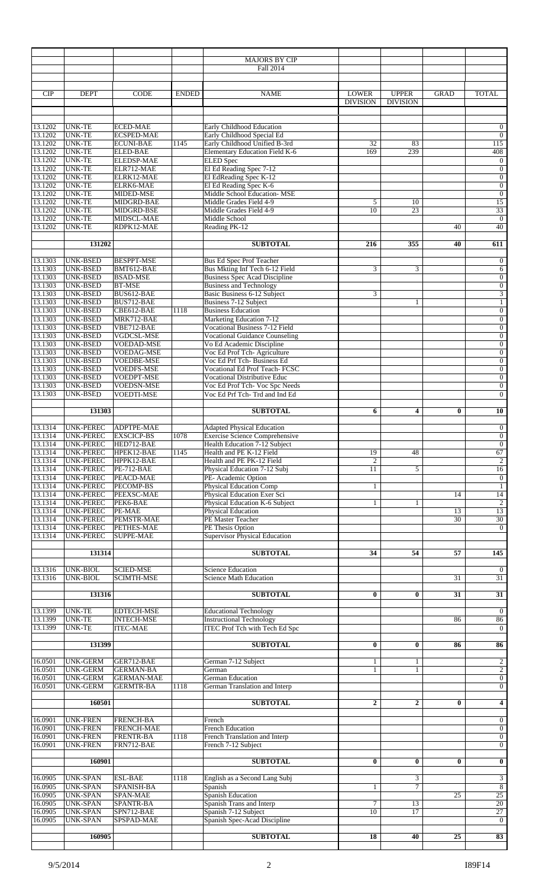|                    |                                      |                                        |              | <b>MAJORS BY CIP</b><br>Fall 2014                                      |                                 |                                 |                 |                                    |
|--------------------|--------------------------------------|----------------------------------------|--------------|------------------------------------------------------------------------|---------------------------------|---------------------------------|-----------------|------------------------------------|
|                    |                                      |                                        |              |                                                                        |                                 |                                 |                 |                                    |
| CIP                | <b>DEPT</b>                          | <b>CODE</b>                            | <b>ENDED</b> | <b>NAME</b>                                                            | <b>LOWER</b><br><b>DIVISION</b> | <b>UPPER</b><br><b>DIVISION</b> | <b>GRAD</b>     | <b>TOTAL</b>                       |
|                    |                                      |                                        |              |                                                                        |                                 |                                 |                 |                                    |
| 13.1202<br>13.1202 | <b>UNK-TE</b><br><b>UNK-TE</b>       | <b>ECED-MAE</b><br><b>ECSPED-MAE</b>   |              | Early Childhood Education<br>Early Childhood Special Ed                |                                 |                                 |                 | $\overline{0}$<br>$\mathbf{0}$     |
| 13.1202<br>13.1202 | <b>UNK-TE</b><br>UNK-TE              | <b>ECUNI-BAE</b><br><b>ELED-BAE</b>    | 1145         | Early Childhood Unified B-3rd<br>Elementary Education Field K-6        | 32<br>169                       | 83<br>239                       |                 | 115<br>408                         |
| 13.1202            | <b>UNK-TE</b>                        | <b>ELEDSP-MAE</b>                      |              | <b>ELED</b> Spec                                                       |                                 |                                 |                 | $\mathbf{0}$                       |
| 13.1202<br>13.1202 | <b>UNK-TE</b><br><b>UNK-TE</b>       | ELR712-MAE<br>ELRK12-MAE               |              | El Ed Reading Spec 7-12<br>El EdReading Spec K-12                      |                                 |                                 |                 | $\mathbf{0}$<br>$\overline{0}$     |
| 13.1202<br>13.1202 | UNK-TE<br><b>UNK-TE</b>              | ELRK6-MAE<br>MIDED-MSE                 |              | El Ed Reading Spec K-6<br>Middle School Education- MSE                 |                                 |                                 |                 | $\boldsymbol{0}$<br>$\overline{0}$ |
| 13.1202            | <b>UNK-TE</b>                        | MIDGRD-BAE                             |              | Middle Grades Field 4-9<br>Middle Grades Field 4-9                     | 5                               | 10                              |                 | 15                                 |
| 13.1202<br>13.1202 | <b>UNK-TE</b><br><b>UNK-TE</b>       | MIDGRD-BSE<br>MIDSCL-MAE               |              | Middle School                                                          | 10                              | 23                              |                 | 33<br>$\overline{0}$               |
| 13.1202            | <b>UNK-TE</b>                        | RDPK12-MAE                             |              | Reading PK-12                                                          |                                 |                                 | 40              | 40                                 |
|                    | 131202                               |                                        |              | <b>SUBTOTAL</b>                                                        | 216                             | 355                             | 40              | 611                                |
| 13.1303            | <b>UNK-BSED</b>                      | <b>BESPPT-MSE</b>                      |              | <b>Bus Ed Spec Prof Teacher</b>                                        |                                 |                                 |                 | $\mathbf{0}$                       |
| 13.1303<br>13.1303 | <b>UNK-BSED</b><br>UNK-BSED          | BMT612-BAE<br><b>BSAD-MSE</b>          |              | Bus Mkting Inf Tech 6-12 Field<br><b>Business Spec Acad Discipline</b> | 3                               | 3                               |                 | 6<br>$\boldsymbol{0}$              |
| 13.1303<br>13.1303 | <b>UNK-BSED</b><br><b>UNK-BSED</b>   | <b>BT-MSE</b><br>BUS612-BAE            |              | <b>Business and Technology</b><br><b>Basic Business 6-12 Subject</b>   | 3                               |                                 |                 | $\overline{0}$<br>$\overline{3}$   |
| 13.1303            | UNK-BSED                             | BUS712-BAE                             |              | Business 7-12 Subject                                                  |                                 | $\mathbf{1}$                    |                 | $\mathbf{1}$                       |
| 13.1303<br>13.1303 | <b>UNK-BSED</b><br><b>UNK-BSED</b>   | CBE612-BAE<br>MRK712-BAE               | 1118         | <b>Business Education</b><br>Marketing Education 7-12                  |                                 |                                 |                 | $\overline{0}$<br>$\mathbf{0}$     |
| 13.1303<br>13.1303 | <b>UNK-BSED</b>                      | VBE712-BAE<br><b>VGDCSL-MSE</b>        |              | Vocational Business 7-12 Field                                         |                                 |                                 |                 | $\boldsymbol{0}$                   |
| 13.1303            | UNK-BSED<br><b>UNK-BSED</b>          | <b>VOEDAD-MSE</b>                      |              | <b>Vocational Guidance Counseling</b><br>Vo Ed Academic Discipline     |                                 |                                 |                 | $\boldsymbol{0}$<br>$\mathbf{0}$   |
| 13.1303<br>13.1303 | UNK-BSED<br><b>UNK-BSED</b>          | <b>VOEDAG-MSE</b><br>VOEDBE-MSE        |              | Voc Ed Prof Tch-Agriculture<br>Voc Ed Prf Tch- Business Ed             |                                 |                                 |                 | $\mathbf{0}$<br>$\mathbf{0}$       |
| 13.1303            | <b>UNK-BSED</b>                      | <b>VOEDFS-MSE</b>                      |              | <b>Vocational Ed Prof Teach- FCSC</b>                                  |                                 |                                 |                 | $\mathbf{0}$                       |
| 13.1303<br>13.1303 | <b>UNK-BSED</b><br>UNK-BSED          | VOEDPT-MSE<br>VOEDSN-MSE               |              | <b>Vocational Distributive Educ</b><br>Voc Ed Prof Tch- Voc Spc Needs  |                                 |                                 |                 | $\overline{0}$<br>$\overline{0}$   |
| 13.1303            | <b>UNK-BSED</b>                      | <b>VOEDTI-MSE</b>                      |              | Voc Ed Prf Tch-Trd and Ind Ed                                          |                                 |                                 |                 | $\mathbf{0}$                       |
|                    | 131303                               |                                        |              | <b>SUBTOTAL</b>                                                        | 6                               | 4                               | 0               | 10                                 |
| 13.1314<br>13.1314 | <b>UNK-PEREC</b>                     | ADPTPE-MAE<br><b>EXSCICP-BS</b>        | 1078         | <b>Adapted Physical Education</b>                                      |                                 |                                 |                 | $\mathbf{0}$                       |
| 13.1314            | UNK-PEREC<br>UNK-PEREC               | HED712-BAE                             |              | Exercise Science Comprehensive<br>Health Education 7-12 Subject        |                                 |                                 |                 | $\overline{0}$<br>$\overline{0}$   |
| 13.1314<br>13.1314 | UNK-PEREC<br><b>UNK-PEREC</b>        | HPEK12-BAE<br>HPPK12-BAE               | 1145         | Health and PE K-12 Field<br>Health and PE PK-12 Field                  | 19<br>2                         | 48                              |                 | 67<br>$\overline{2}$               |
| 13.1314            | <b>UNK-PEREC</b>                     | $PE-712-BAE$                           |              | Physical Education 7-12 Subj                                           | 11                              | 5                               |                 | 16                                 |
| 13.1314<br>13.1314 | <b>UNK-PEREC</b><br>UNK-PEREC        | PEACD-MAE<br>PECOMP-BS                 |              | PE- Academic Option<br><b>Physical Education Comp</b>                  | $\mathbf{1}$                    |                                 |                 | $\mathbf{0}$<br>$\mathbf{1}$       |
| 13.1314<br>13.1314 | <b>UNK-PEREC</b><br><b>UNK-PEREC</b> | PEEXSC-MAE<br>PEK6-BAE                 |              | Physical Education Exer Sci<br>Physical Education K-6 Subject          | $\mathbf{1}$                    | 1                               | 14              | 14<br>$\overline{c}$               |
| 13.1314            | <b>UNK-PEREC</b>                     | PE-MAE                                 |              | Physical Education                                                     |                                 |                                 | 13              | 13                                 |
| 13.1314<br>13.1314 | <b>UNK-PEREC</b><br><b>UNK-PEREC</b> | PEMSTR-MAE<br>PETHES-MAE               |              | PE Master Teacher<br>PE Thesis Option                                  |                                 |                                 | 30              | 30<br>$\overline{0}$               |
| 13.1314            | <b>UNK-PEREC</b>                     | <b>SUPPE-MAE</b>                       |              | <b>Supervisor Physical Education</b>                                   |                                 |                                 |                 |                                    |
|                    | 131314                               |                                        |              | <b>SUBTOTAL</b>                                                        | 34                              | 54                              | $\overline{57}$ | 145                                |
| 13.1316<br>13.1316 | UNK-BIOL<br><b>UNK-BIOL</b>          | <b>SCIED-MSE</b><br><b>SCIMTH-MSE</b>  |              | <b>Science Education</b><br><b>Science Math Education</b>              |                                 |                                 | 31              | $\overline{0}$<br>31               |
|                    | 131316                               |                                        |              | <b>SUBTOTAL</b>                                                        | $\bf{0}$                        | $\bf{0}$                        | 31              | 31                                 |
|                    |                                      |                                        |              |                                                                        |                                 |                                 |                 |                                    |
| 13.1399<br>13.1399 | <b>UNK-TE</b><br><b>UNK-TE</b>       | <b>EDTECH-MSE</b><br><b>INTECH-MSE</b> |              | <b>Educational Technology</b><br><b>Instructional Technology</b>       |                                 |                                 | 86              | $\overline{0}$<br>86               |
| 13.1399            | <b>UNK-TE</b>                        | <b>ITEC-MAE</b>                        |              | <b>ITEC Prof Tch with Tech Ed Spc</b>                                  |                                 |                                 |                 | $\overline{0}$                     |
|                    | 131399                               |                                        |              | <b>SUBTOTAL</b>                                                        | $\bf{0}$                        | $\bf{0}$                        | 86              | 86                                 |
| 16.0501            | <b>UNK-GERM</b>                      | GER712-BAE                             |              | German 7-12 Subject                                                    | $\mathbf{1}$                    | 1                               |                 | $\overline{c}$                     |
| 16.0501<br>16.0501 | <b>UNK-GERM</b><br><b>UNK-GERM</b>   | <b>GERMAN-BA</b><br><b>GERMAN-MAE</b>  |              | German<br><b>German Education</b>                                      | $\mathbf{1}$                    | $\mathbf{1}$                    |                 | $\sqrt{2}$<br>$\overline{0}$       |
| 16.0501            | <b>UNK-GERM</b>                      | <b>GERMTR-BA</b>                       | 1118         | German Translation and Interp                                          |                                 |                                 |                 | $\overline{0}$                     |
|                    | 160501                               |                                        |              | <b>SUBTOTAL</b>                                                        | $\boldsymbol{2}$                | $\mathbf{2}$                    | $\bf{0}$        | $\overline{\mathbf{4}}$            |
| 16.0901            | <b>UNK-FREN</b>                      | <b>FRENCH-BA</b>                       |              | French                                                                 |                                 |                                 |                 | $\mathbf{0}$                       |
| 16.0901<br>16.0901 | <b>UNK-FREN</b><br><b>UNK-FREN</b>   | FRENCH-MAE<br><b>FRENTR-BA</b>         | 1118         | <b>French Education</b><br>French Translation and Interp               |                                 |                                 |                 | $\overline{0}$<br>$\overline{0}$   |
| 16.0901            | <b>UNK-FREN</b>                      | FRN712-BAE                             |              | French 7-12 Subject                                                    |                                 |                                 |                 | $\overline{0}$                     |
|                    | 160901                               |                                        |              | <b>SUBTOTAL</b>                                                        | $\bf{0}$                        | $\bf{0}$                        | $\bf{0}$        | $\bf{0}$                           |
| 16.0905            | <b>UNK-SPAN</b>                      | <b>ESL-BAE</b>                         | 1118         | English as a Second Lang Subj                                          |                                 | 3                               |                 | 3                                  |
| 16.0905<br>16.0905 | <b>UNK-SPAN</b><br><b>UNK-SPAN</b>   | SPANISH-BA<br>SPAN-MAE                 |              | Spanish<br><b>Spanish Education</b>                                    | $\mathbf{1}$                    | $\overline{7}$                  | 25              | $\overline{8}$<br>25               |
| 16.0905<br>16.0905 | UNK-SPAN<br><b>UNK-SPAN</b>          | SPANTR-BA<br>SPN712-BAE                |              | Spanish Trans and Interp<br>Spanish 7-12 Subject                       | 7<br>10                         | 13<br>17                        |                 | 20<br>27                           |
| 16.0905            | <b>UNK-SPAN</b>                      | SPSPAD-MAE                             |              | Spanish Spec-Acad Discipline                                           |                                 |                                 |                 | $\overline{0}$                     |
|                    | 160905                               |                                        |              | <b>SUBTOTAL</b>                                                        | $\overline{18}$                 | 40                              | $\overline{25}$ | 83                                 |
|                    |                                      |                                        |              |                                                                        |                                 |                                 |                 |                                    |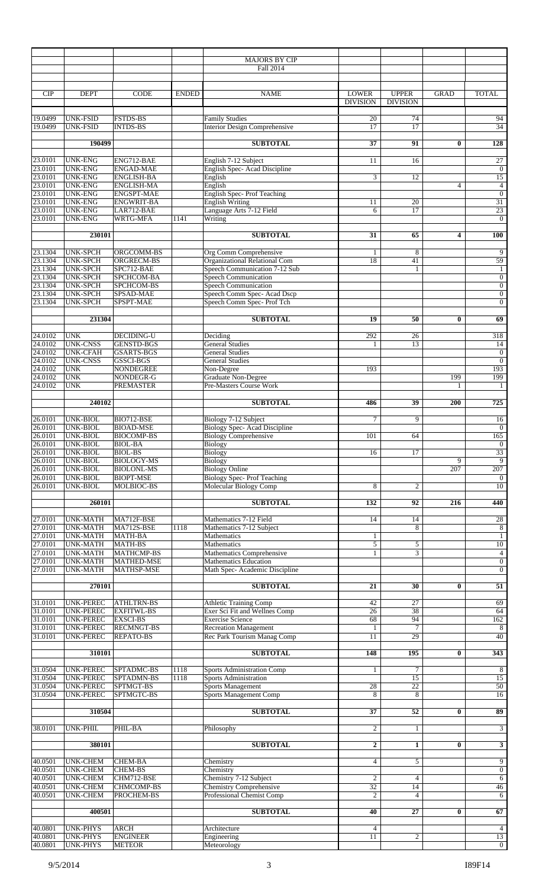|                           |                                      |                                        |              | <b>MAJORS BY CIP</b><br>Fall 2014                              |                                 |                                 |          |                                      |
|---------------------------|--------------------------------------|----------------------------------------|--------------|----------------------------------------------------------------|---------------------------------|---------------------------------|----------|--------------------------------------|
| <b>CIP</b>                | <b>DEPT</b>                          | <b>CODE</b>                            | <b>ENDED</b> | <b>NAME</b>                                                    | <b>LOWER</b><br><b>DIVISION</b> | <b>UPPER</b><br><b>DIVISION</b> | GRAD     | <b>TOTAL</b>                         |
| 19.0499<br>19.0499        | UNK-FSID<br><b>UNK-FSID</b>          | <b>FSTDS-BS</b><br><b>INTDS-BS</b>     |              | <b>Family Studies</b><br><b>Interior Design Comprehensive</b>  | 20<br>17                        | 74<br>17                        |          | 94<br>$\overline{34}$                |
|                           | 190499                               |                                        |              | <b>SUBTOTAL</b>                                                | $\overline{37}$                 | 91                              | $\bf{0}$ | 128                                  |
| 23.0101                   | <b>UNK-ENG</b>                       | ENG712-BAE                             |              | English 7-12 Subject                                           | 11                              | 16                              |          | 27                                   |
| 23.0101<br>23.0101        | <b>UNK-ENG</b><br><b>UNK-ENG</b>     | <b>ENGAD-MAE</b><br><b>ENGLISH-BA</b>  |              | English Spec-Acad Discipline<br>English                        | 3                               | 12                              |          | $\overline{0}$<br>15                 |
| 23.0101<br>23.0101        | <b>UNK-ENG</b>                       | <b>ENGLISH-MA</b>                      |              | English                                                        |                                 |                                 | 4        | $\overline{4}$                       |
| 23.0101                   | <b>UNK-ENG</b><br><b>UNK-ENG</b>     | <b>ENGSPT-MAE</b><br><b>ENGWRIT-BA</b> |              | <b>English Spec-Prof Teaching</b><br><b>English Writing</b>    | 11                              | 20                              |          | $\overline{0}$<br>31                 |
| 23.0101                   | <b>UNK-ENG</b>                       | LAR712-BAE                             |              | Language Arts 7-12 Field                                       | 6                               | 17                              |          | 23                                   |
| 23.0101                   | <b>UNK-ENG</b>                       | WRTG-MFA                               | 1141         | Writing                                                        |                                 |                                 |          | $\overline{0}$                       |
|                           | 230101                               |                                        |              | <b>SUBTOTAL</b>                                                | 31                              | 65                              | 4        | <b>100</b>                           |
| 23.1304<br>23.1304        | <b>UNK-SPCH</b><br><b>UNK-SPCH</b>   | ORGCOMM-BS<br>ORGRECM-BS               |              | <b>Org Comm Comprehensive</b><br>Organizational Relational Com | 1<br>18                         | 8<br>41                         |          | 9<br>59                              |
| 23.1304<br>23.1304        | <b>UNK-SPCH</b>                      | SPC712-BAE                             |              | Speech Communication 7-12 Sub                                  |                                 | $\mathbf{1}$                    |          | $\mathbf{1}$                         |
|                           | <b>UNK-SPCH</b>                      | SPCHCOM-BA                             |              | <b>Speech Communication</b>                                    |                                 |                                 |          | $\boldsymbol{0}$                     |
| 23.1304                   | <b>UNK-SPCH</b><br><b>UNK-SPCH</b>   | SPCHCOM-BS<br>SPSAD-MAE                |              | Speech Communication<br>Speech Comm Spec-Acad Dscp             |                                 |                                 |          | $\boldsymbol{0}$<br>$\boldsymbol{0}$ |
| 23.1304                   | <b>UNK-SPCH</b>                      | SPSPT-MAE                              |              | Speech Comm Spec- Prof Tch                                     |                                 |                                 |          | $\boldsymbol{0}$                     |
|                           | 231304                               |                                        |              | <b>SUBTOTAL</b>                                                | 19                              | 50                              | $\bf{0}$ | 69                                   |
| 24.0102                   | <b>UNK</b>                           | <b>DECIDING-U</b>                      |              | Deciding                                                       | 292                             | 26                              |          | 318                                  |
| 24.0102<br>24.0102        | <b>UNK-CNSS</b>                      | <b>GENSTD-BGS</b>                      |              | <b>General Studies</b>                                         | 1                               | 13                              |          | 14                                   |
|                           | <b>UNK-CFAH</b><br><b>UNK-CNSS</b>   | <b>GSARTS-BGS</b><br>GSSCI-BGS         |              | <b>General Studies</b><br><b>General Studies</b>               |                                 |                                 |          | $\boldsymbol{0}$<br>$\boldsymbol{0}$ |
| 24.0102                   | <b>UNK</b>                           | <b>NONDEGREE</b>                       |              | Non-Degree                                                     | 193                             |                                 |          | 193                                  |
| 24.0102<br>24.0102        | <b>UNK</b><br><b>UNK</b>             | NONDEGR-G<br><b>PREMASTER</b>          |              | Graduate Non-Degree<br><b>Pre-Masters Course Work</b>          |                                 |                                 | 199<br>1 | 199<br>1                             |
|                           | 240102                               |                                        |              | <b>SUBTOTAL</b>                                                | 486                             | 39                              | 200      | $\overline{725}$                     |
| 26.0101                   | <b>UNK-BIOL</b>                      | BIO712-BSE                             |              | Biology 7-12 Subject                                           | 7                               | 9                               |          | 16                                   |
| 26.0101                   | <b>UNK-BIOL</b>                      | <b>BIOAD-MSE</b>                       |              | <b>Biology Spec-Acad Discipline</b>                            |                                 |                                 |          | $\overline{0}$                       |
| 26.0101                   | <b>UNK-BIOL</b><br>UNK-BIOL          | <b>BIOCOMP-BS</b><br>BIOL-BA           |              | <b>Biology Comprehensive</b><br><b>Biology</b>                 | 101                             | 64                              |          | 165<br>$\theta$                      |
| $\frac{26.0101}{26.0101}$ | <b>UNK-BIOL</b>                      | <b>BIOL-BS</b>                         |              | <b>Biology</b>                                                 | 16                              | 17                              |          | 33                                   |
| 26.0101<br>26.0101        | <b>UNK-BIOL</b><br><b>UNK-BIOL</b>   | <b>BIOLOGY-MS</b><br><b>BIOLONL-MS</b> |              | <b>Biology</b><br><b>Biology Online</b>                        |                                 |                                 | 9<br>207 | $\overline{9}$<br>207                |
| 26.0101                   | <b>UNK-BIOL</b>                      | <b>BIOPT-MSE</b>                       |              | <b>Biology Spec-Prof Teaching</b>                              |                                 |                                 |          | $\mathbf{0}$                         |
| 26.0101                   | UNK-BIOL                             | MOLBIOC-BS                             |              | Molecular Biology Comp                                         | 8                               | 2                               |          | 10                                   |
|                           | 260101                               |                                        |              | <b>SUBTOTAL</b>                                                | 132                             | 92                              | 216      | 440                                  |
| 27.0101<br>27.0101        | <b>UNK-MATH</b>                      | MA712F-BSE                             | 1118         | Mathematics 7-12 Field                                         | 14                              | 14<br>8                         |          | 28                                   |
| 27.0101                   | <b>UNK-MATH</b><br><b>UNK-MATH</b>   | MA712S-BSE<br><b>MATH-BA</b>           |              | Mathematics 7-12 Subject<br>Mathematics                        | $\mathbf{1}$                    |                                 |          | $\,8\,$<br>1                         |
| $\frac{27.0101}{27.0101}$ | <b>UNK-MATH</b>                      | <b>MATH-BS</b>                         |              | Mathematics                                                    | 5                               | 5                               |          | 10                                   |
| 27.0101                   | <b>UNK-MATH</b><br><b>UNK-MATH</b>   | MATHCMP-BS<br><b>MATHED-MSE</b>        |              | Mathematics Comprehensive<br><b>Mathematics Education</b>      | $\mathbf{1}$                    | $\overline{3}$                  |          | $\overline{4}$<br>$\overline{0}$     |
| 27.0101                   | <b>UNK-MATH</b>                      | MATHSP-MSE                             |              | Math Spec- Academic Discipline                                 |                                 |                                 |          | $\boldsymbol{0}$                     |
|                           | 270101                               |                                        |              | <b>SUBTOTAL</b>                                                | $\overline{21}$                 | 30                              | $\bf{0}$ | $\overline{51}$                      |
| $\frac{31.0101}{31.0101}$ | UNK-PEREC                            | <b>ATHLTRN-BS</b>                      |              | <b>Athletic Training Comp</b>                                  | 42                              | 27                              |          | 69                                   |
| 31.0101                   | <b>UNK-PEREC</b><br><b>UNK-PEREC</b> | <b>EXFITWL-BS</b><br><b>EXSCI-BS</b>   |              | Exer Sci Fit and Wellnes Comp<br><b>Exercise Science</b>       | 26<br>68                        | 38<br>94                        |          | 64<br>162                            |
| 31.0101                   | <b>UNK-PEREC</b>                     | <b>RECMNGT-BS</b>                      |              | <b>Recreation Management</b>                                   | 1                               | $\overline{7}$                  |          | 8                                    |
| 31.0101                   | <b>UNK-PEREC</b>                     | <b>REPATO-BS</b>                       |              | Rec Park Tourism Manag Comp                                    | $\overline{11}$                 | 29                              |          | 40                                   |
|                           | 310101                               |                                        |              | <b>SUBTOTAL</b>                                                | 148                             | 195                             | $\bf{0}$ | 343                                  |
| 31.0504                   | <b>UNK-PEREC</b>                     | SPTADMC-BS                             | 1118         | <b>Sports Administration Comp</b>                              | 1                               | $\tau$                          |          | 8                                    |
| 31.0504<br>31.0504        | <b>UNK-PEREC</b><br><b>UNK-PEREC</b> | SPTADMN-BS<br>SPTMGT-BS                | 1118         | Sports Administration<br><b>Sports Management</b>              | 28                              | 15<br>22                        |          | 15<br>50                             |
| 31.0504                   | UNK-PEREC                            | SPTMGTC-BS                             |              | Sports Management Comp                                         | 8                               | 8                               |          | 16                                   |
|                           | 310504                               |                                        |              | <b>SUBTOTAL</b>                                                | $\overline{37}$                 | $\overline{52}$                 | $\bf{0}$ | 89                                   |
| 38.0101                   | UNK-PHIL                             | PHIL-BA                                |              | Philosophy                                                     | $\overline{c}$                  | $\mathbf{1}$                    |          | 3                                    |
|                           | 380101                               |                                        |              | <b>SUBTOTAL</b>                                                | $\overline{2}$                  | $\mathbf{1}$                    | $\bf{0}$ | 3                                    |
| 40.0501                   | <b>UNK-CHEM</b>                      | <b>CHEM-BA</b>                         |              | Chemistry                                                      | $\overline{4}$                  | 5                               |          | 9                                    |
| 40.0501                   | <b>UNK-CHEM</b>                      | <b>CHEM-BS</b>                         |              | Chemistry                                                      |                                 |                                 |          | $\overline{0}$                       |
| 40.0501<br>40.0501        | UNK-CHEM<br><b>UNK-CHEM</b>          | CHM712-BSE<br><b>CHMCOMP-BS</b>        |              | Chemistry 7-12 Subject<br><b>Chemistry Comprehensive</b>       | $\overline{c}$<br>32            | $\overline{4}$<br>14            |          | 6<br>46                              |
| 40.0501                   | <b>UNK-CHEM</b>                      | PROCHEM-BS                             |              | Professional Chemist Comp                                      | $\overline{c}$                  | $\overline{4}$                  |          | 6                                    |
|                           | 400501                               |                                        |              | <b>SUBTOTAL</b>                                                | 40                              | 27                              | $\bf{0}$ | 67                                   |
| 40.0801                   | <b>UNK-PHYS</b>                      | <b>ARCH</b>                            |              | Architecture                                                   | 4                               |                                 |          | $\overline{4}$                       |
| 40.0801<br>40.0801        | <b>UNK-PHYS</b><br>UNK-PHYS          | <b>ENGINEER</b><br><b>METEOR</b>       |              | Engineering<br>Meteorology                                     | $\overline{11}$                 | $\mathfrak{2}$                  |          | 13<br>$\overline{0}$                 |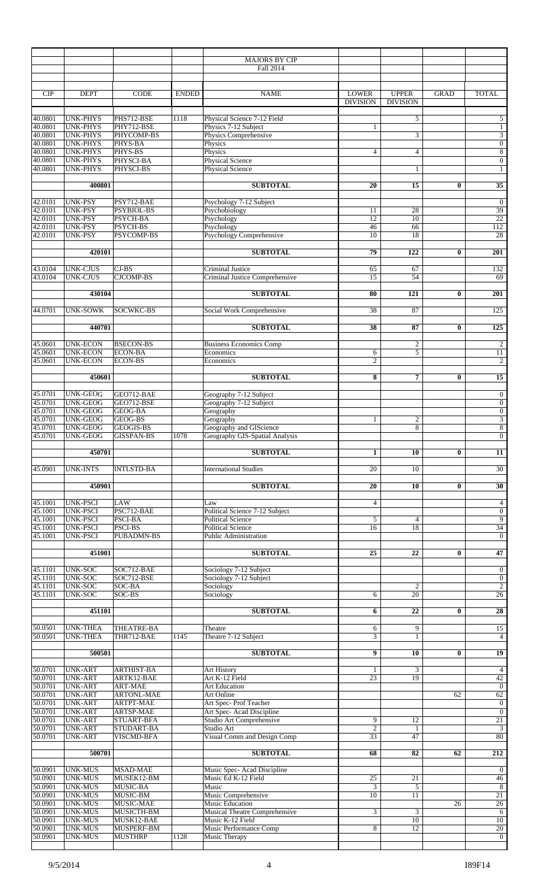|                    |                                    |                                      |              | <b>MAJORS BY CIP</b><br>Fall 2014                  |                                 |                                 |                 |                                    |
|--------------------|------------------------------------|--------------------------------------|--------------|----------------------------------------------------|---------------------------------|---------------------------------|-----------------|------------------------------------|
|                    |                                    |                                      |              |                                                    |                                 |                                 |                 |                                    |
|                    |                                    |                                      |              |                                                    |                                 |                                 |                 |                                    |
| <b>CIP</b>         | <b>DEPT</b>                        | <b>CODE</b>                          | <b>ENDED</b> | <b>NAME</b>                                        | <b>LOWER</b><br><b>DIVISION</b> | <b>UPPER</b><br><b>DIVISION</b> | <b>GRAD</b>     | <b>TOTAL</b>                       |
|                    |                                    |                                      |              |                                                    |                                 |                                 |                 |                                    |
| 40.0801            | <b>UNK-PHYS</b>                    | PHS712-BSE                           | 1118         | Physical Science 7-12 Field                        |                                 | 5                               |                 | 5                                  |
| 40.0801<br>40.0801 | <b>UNK-PHYS</b><br><b>UNK-PHYS</b> | PHY712-BSE                           |              | Physics 7-12 Subject                               | $\mathbf{1}$                    |                                 |                 | $\mathbf{1}$                       |
| 40.0801            | <b>UNK-PHYS</b>                    | PHYCOMP-BS<br>PHYS-BA                |              | Physics Comprehensive<br>Physics                   |                                 | 3                               |                 | $\overline{3}$<br>$\boldsymbol{0}$ |
| 40.0801            | <b>UNK-PHYS</b>                    | PHYS-BS                              |              | Physics                                            | 4                               | $\overline{4}$                  |                 | $\,$ 8 $\,$                        |
| 40.0801            | <b>UNK-PHYS</b>                    | PHYSCI-BA                            |              | <b>Physical Science</b>                            |                                 |                                 |                 | $\boldsymbol{0}$                   |
| 40.0801            | <b>UNK-PHYS</b>                    | PHYSCI-BS                            |              | <b>Physical Science</b>                            |                                 | 1                               |                 | 1                                  |
|                    | 400801                             |                                      |              | <b>SUBTOTAL</b>                                    | 20                              | 15                              | $\bf{0}$        | 35                                 |
|                    |                                    |                                      |              |                                                    |                                 |                                 |                 |                                    |
| 42.0101            | <b>UNK-PSY</b>                     | PSY712-BAE                           |              | Psychology 7-12 Subject                            |                                 |                                 |                 | $\boldsymbol{0}$                   |
| 42.0101            | <b>UNK-PSY</b>                     | PSYBIOL-BS                           |              | Psychobiology                                      | 11                              | 28                              |                 | 39                                 |
| 42.0101            | <b>UNK-PSY</b>                     | <b>PSYCH-BA</b>                      |              | Psychology                                         | 12                              | 10                              |                 | 22                                 |
| 42.0101<br>42.0101 | <b>UNK-PSY</b><br><b>UNK-PSY</b>   | PSYCH-BS<br><b>PSYCOMP-BS</b>        |              | Psychology<br><b>Psychology Comprehensive</b>      | 46<br>10                        | 66<br>18                        |                 | 112<br>28                          |
|                    |                                    |                                      |              |                                                    |                                 |                                 |                 |                                    |
|                    | 420101                             |                                      |              | <b>SUBTOTAL</b>                                    | 79                              | 122                             | $\bf{0}$        | $\overline{201}$                   |
|                    |                                    |                                      |              |                                                    |                                 |                                 |                 |                                    |
| 43.0104<br>43.0104 | <b>UNK-CJUS</b><br><b>UNK-CJUS</b> | $CI-BS$<br><b>CJCOMP-BS</b>          |              | Criminal Justice<br>Criminal Justice Comprehensive | 65<br>15                        | 67<br>54                        |                 | 132<br>69                          |
|                    |                                    |                                      |              |                                                    |                                 |                                 |                 |                                    |
|                    | 430104                             |                                      |              | <b>SUBTOTAL</b>                                    | 80                              | 121                             | $\bf{0}$        | $\overline{201}$                   |
|                    |                                    |                                      |              |                                                    |                                 |                                 |                 |                                    |
| 44.0701            | <b>UNK-SOWK</b>                    | SOCWKC-BS                            |              | Social Work Comprehensive                          | 38                              | 87                              |                 | 125                                |
|                    | 440701                             |                                      |              | <b>SUBTOTAL</b>                                    | 38                              | 87                              | $\bf{0}$        | $\overline{125}$                   |
|                    |                                    |                                      |              |                                                    |                                 |                                 |                 |                                    |
| 45.0601            | <b>UNK-ECON</b>                    | <b>BSECON-BS</b>                     |              | <b>Business Economics Comp</b>                     |                                 | $\boldsymbol{2}$                |                 | $\boldsymbol{2}$                   |
| 45.0601<br>45.0601 | <b>UNK-ECON</b><br><b>UNK-ECON</b> | <b>ECON-BA</b><br><b>ECON-BS</b>     |              | Economics<br>Economics                             | 6<br>$\overline{c}$             | 5                               |                 | 11<br>$\overline{c}$               |
|                    |                                    |                                      |              |                                                    |                                 |                                 |                 |                                    |
|                    | 450601                             |                                      |              | <b>SUBTOTAL</b>                                    | 8                               | $\overline{7}$                  | $\bf{0}$        | 15                                 |
|                    |                                    |                                      |              |                                                    |                                 |                                 |                 |                                    |
| 45.0701            | <b>UNK-GEOG</b>                    | GEO712-BAE                           |              | Geography 7-12 Subject                             |                                 |                                 |                 | $\boldsymbol{0}$                   |
| 45.0701<br>45.0701 | <b>UNK-GEOG</b><br><b>UNK-GEOG</b> | GEO712-BSE<br>GEOG-BA                |              | Geography 7-12 Subject                             |                                 |                                 |                 | $\boldsymbol{0}$                   |
| 45.0701            | <b>UNK-GEOG</b>                    | GEOG-BS                              |              | Geography<br>Geography                             | $\mathbf{1}$                    | $\mathfrak{2}$                  |                 | $\boldsymbol{0}$<br>$\overline{3}$ |
| 45.0701            | <b>UNK-GEOG</b>                    | <b>GEOGIS-BS</b>                     |              | Geography and GIScience                            |                                 | 8                               |                 | $\boldsymbol{8}$                   |
| 45.0701            | <b>UNK-GEOG</b>                    | <b>GISSPAN-BS</b>                    | 1078         | Geography GIS-Spatial Analysis                     |                                 |                                 |                 | $\mathbf{0}$                       |
|                    |                                    |                                      |              |                                                    |                                 |                                 |                 |                                    |
|                    | 450701                             |                                      |              | <b>SUBTOTAL</b>                                    | $\mathbf{1}$                    | 10                              | $\bf{0}$        | 11                                 |
| 45.0901            | <b>UNK-INTS</b>                    | <b>INTLSTD-BA</b>                    |              | <b>International Studies</b>                       | 20                              | 10                              |                 | $\overline{30}$                    |
|                    |                                    |                                      |              |                                                    |                                 |                                 |                 |                                    |
|                    | 450901                             |                                      |              | <b>SUBTOTAL</b>                                    | 20                              | 10                              | $\bf{0}$        | 30                                 |
|                    |                                    | LAW                                  |              |                                                    | $\overline{4}$                  |                                 |                 |                                    |
| 45.1001<br>45.1001 | UNK-PSCI<br><b>UNK-PSCI</b>        | PSC712-BAE                           |              | Law<br>Political Science 7-12 Subject              |                                 |                                 |                 | $\overline{4}$<br>$\boldsymbol{0}$ |
| 45.1001            | <b>UNK-PSCI</b>                    | PSCI-BA                              |              | <b>Political Science</b>                           | 5                               | $\overline{4}$                  |                 | 9                                  |
| 45.1001            | <b>UNK-PSCI</b>                    | PSCI-BS                              |              | <b>Political Science</b>                           | 16                              | 18                              |                 | 34                                 |
| 45.1001            | <b>UNK-PSCI</b>                    | <b>PUBADMN-BS</b>                    |              | <b>Public Administration</b>                       |                                 |                                 |                 | $\overline{0}$                     |
|                    | 451001                             |                                      |              | <b>SUBTOTAL</b>                                    | 25                              | $\overline{22}$                 | 0               | 47                                 |
|                    |                                    |                                      |              |                                                    |                                 |                                 |                 |                                    |
| 45.1101            | UNK-SOC                            | SOC712-BAE                           |              | Sociology 7-12 Subject                             |                                 |                                 |                 | $\boldsymbol{0}$                   |
| 45.1101            | <b>UNK-SOC</b>                     | SOC712-BSE                           |              | Sociology 7-12 Subject                             |                                 |                                 |                 | $\overline{0}$                     |
| 45.1101<br>45.1101 | <b>UNK-SOC</b><br><b>UNK-SOC</b>   | SOC-BA<br>SOC-BS                     |              | Sociology<br>Sociology                             | 6                               | 2<br>20                         |                 | $\overline{c}$<br>$\overline{26}$  |
|                    |                                    |                                      |              |                                                    |                                 |                                 |                 |                                    |
|                    | 451101                             |                                      |              | <b>SUBTOTAL</b>                                    | 6                               | $\overline{22}$                 | $\bf{0}$        | $\overline{28}$                    |
| 50.0501            | <b>UNK-THEA</b>                    | <b>THEATRE-BA</b>                    |              | Theatre                                            | 6                               | 9                               |                 | 15                                 |
| 50.0501            | <b>UNK-THEA</b>                    | THR712-BAE                           | 1145         | Theatre 7-12 Subject                               | $\overline{3}$                  | 1                               |                 | $\overline{4}$                     |
|                    |                                    |                                      |              |                                                    |                                 |                                 |                 |                                    |
|                    | 500501                             |                                      |              | <b>SUBTOTAL</b>                                    | 9                               | $\overline{10}$                 | $\bf{0}$        | 19                                 |
| 50.0701            | <b>UNK-ART</b>                     | <b>ARTHIST-BA</b>                    |              | Art History                                        | 1                               | 3                               |                 | $\overline{4}$                     |
| 50.0701            | <b>UNK-ART</b>                     | ARTK12-BAE                           |              | Art K-12 Field                                     | $\overline{23}$                 | 19                              |                 | 42                                 |
| 50.0701            | <b>UNK-ART</b>                     | <b>ART-MAE</b>                       |              | <b>Art Education</b>                               |                                 |                                 |                 | $\overline{0}$                     |
| 50.0701            | <b>UNK-ART</b>                     | <b>ARTONL-MAE</b>                    |              | Art Online                                         |                                 |                                 | 62              | 62                                 |
| 50.0701<br>50.0701 | <b>UNK-ART</b><br><b>UNK-ART</b>   | <b>ARTPT-MAE</b><br><b>ARTSP-MAE</b> |              | Art Spec-Prof Teacher<br>Art Spec-Acad Discipline  |                                 |                                 |                 | $\mathbf{0}$<br>$\overline{0}$     |
| 50.0701            | <b>UNK-ART</b>                     | STUART-BFA                           |              | Studio Art Comprehensive                           | 9                               | 12                              |                 | 21                                 |
| 50.0701            | <b>UNK-ART</b>                     | <b>STUDART-BA</b>                    |              | Studio Art                                         | $\overline{2}$                  | $\mathbf{1}$                    |                 | 3                                  |
| 50.0701            | <b>UNK-ART</b>                     | VISCMD-BFA                           |              | Visual Comm and Design Comp                        | 33                              | 47                              |                 | 80                                 |
|                    | 500701                             |                                      |              | <b>SUBTOTAL</b>                                    | 68                              | 82                              | 62              | 212                                |
|                    |                                    |                                      |              |                                                    |                                 |                                 |                 |                                    |
| 50.0901            | <b>UNK-MUS</b>                     | <b>MSAD-MAE</b>                      |              | Music Spec-Acad Discipline                         |                                 |                                 |                 | $\theta$                           |
| 50.0901            | <b>UNK-MUS</b>                     | MUSEK12-BM                           |              | Music Ed K-12 Field                                | 25                              | $21\,$                          |                 | 46                                 |
| 50.0901<br>50.0901 | <b>UNK-MUS</b><br><b>UNK-MUS</b>   | MUSIC-BA<br>MUSIC-BM                 |              | Music<br>Music Comprehensive                       | 3<br>10                         | 5<br>11                         |                 | 8<br>21                            |
| 50.0901            | <b>UNK-MUS</b>                     | MUSIC-MAE                            |              | Music Education                                    |                                 |                                 | $\overline{26}$ | 26                                 |
| 50.0901            | <b>UNK-MUS</b>                     | MUSICTH-BM                           |              | Musical Theatre Comprehensive                      | 3                               | 3                               |                 | 6                                  |
| 50.0901            | <b>UNK-MUS</b>                     | MUSK12-BAE                           |              | Music K-12 Field                                   |                                 | 10                              |                 | 10                                 |
| 50.0901<br>50.0901 | <b>UNK-MUS</b>                     | MUSPERF-BM                           |              | Music Performance Comp                             | 8                               | 12                              |                 | 20<br>$\overline{0}$               |
|                    | <b>UNK-MUS</b>                     | <b>MUSTHRP</b>                       | 1128         | Music Therapy                                      |                                 |                                 |                 |                                    |